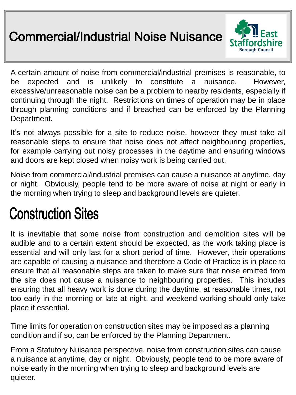## **Commercial/Industrial Noise Nuisance**



A certain amount of noise from commercial/industrial premises is reasonable, to be expected and is unlikely to constitute a nuisance. However, excessive/unreasonable noise can be a problem to nearby residents, especially if continuing through the night. Restrictions on times of operation may be in place through planning conditions and if breached can be enforced by the Planning Department.

It's not always possible for a site to reduce noise, however they must take all reasonable steps to ensure that noise does not affect neighbouring properties, for example carrying out noisy processes in the daytime and ensuring windows and doors are kept closed when noisy work is being carried out.

Noise from commercial/industrial premises can cause a nuisance at anytime, day or night. Obviously, people tend to be more aware of noise at night or early in the morning when trying to sleep and background levels are quieter.

# **Construction Sites**

It is inevitable that some noise from construction and demolition sites will be audible and to a certain extent should be expected, as the work taking place is essential and will only last for a short period of time. However, their operations are capable of causing a nuisance and therefore a Code of Practice is in place to ensure that all reasonable steps are taken to make sure that noise emitted from the site does not cause a nuisance to neighbouring properties. This includes ensuring that all heavy work is done during the daytime, at reasonable times, not too early in the morning or late at night, and weekend working should only take place if essential.

Time limits for operation on construction sites may be imposed as a planning condition and if so, can be enforced by the Planning Department.

From a Statutory Nuisance perspective, noise from construction sites can cause a nuisance at anytime, day or night. Obviously, people tend to be more aware of noise early in the morning when trying to sleep and background levels are quieter.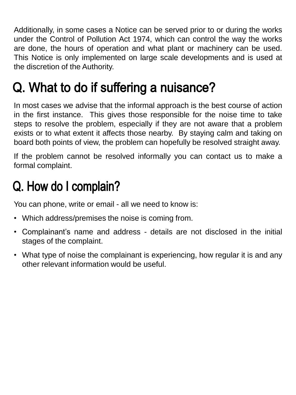Additionally, in some cases a Notice can be served prior to or during the works under the Control of Pollution Act 1974, which can control the way the works are done, the hours of operation and what plant or machinery can be used. This Notice is only implemented on large scale developments and is used at the discretion of the Authority.

## Q. What to do if suffering a nuisance?

In most cases we advise that the informal approach is the best course of action in the first instance. This gives those responsible for the noise time to take steps to resolve the problem, especially if they are not aware that a problem exists or to what extent it affects those nearby. By staying calm and taking on board both points of view, the problem can hopefully be resolved straight away.

If the problem cannot be resolved informally you can contact us to make a formal complaint.

## Q. How do I complain?

You can phone, write or email - all we need to know is:

- Which address/premises the noise is coming from.
- Complainant's name and address details are not disclosed in the initial stages of the complaint.
- What type of noise the complainant is experiencing, how regular it is and any other relevant information would be useful.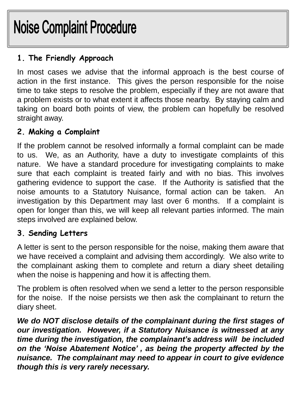# **Noise Complaint Procedure**

### **1. The Friendly Approach**

In most cases we advise that the informal approach is the best course of action in the first instance. This gives the person responsible for the noise time to take steps to resolve the problem, especially if they are not aware that a problem exists or to what extent it affects those nearby. By staying calm and taking on board both points of view, the problem can hopefully be resolved straight away.

#### **2. Making a Complaint**

If the problem cannot be resolved informally a formal complaint can be made to us. We, as an Authority, have a duty to investigate complaints of this nature. We have a standard procedure for investigating complaints to make sure that each complaint is treated fairly and with no bias. This involves gathering evidence to support the case. If the Authority is satisfied that the noise amounts to a Statutory Nuisance, formal action can be taken. An investigation by this Department may last over 6 months. If a complaint is open for longer than this, we will keep all relevant parties informed. The main steps involved are explained below.

#### **3. Sending Letters**

A letter is sent to the person responsible for the noise, making them aware that we have received a complaint and advising them accordingly.We also write to the complainant asking them to complete and return a diary sheet detailing when the noise is happening and how it is affecting them.

The problem is often resolved when we send a letter to the person responsible for the noise. If the noise persists we then ask the complainant to return the diary sheet.

*We do NOT disclose details of the complainant during the first stages of our investigation. However, if a Statutory Nuisance is witnessed at any time during the investigation, the complainant's address will be included on the 'Noise Abatement Notice' , as being the property affected by the nuisance. The complainant may need to appear in court to give evidence though this is very rarely necessary.*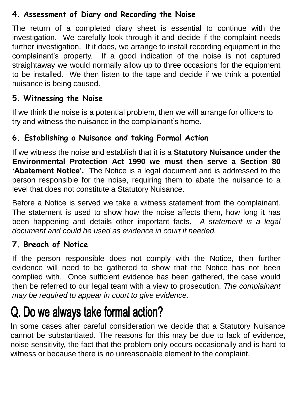#### **4. Assessment of Diary and Recording the Noise**

The return of a completed diary sheet is essential to continue with the investigation. We carefully look through it and decide if the complaint needs further investigation. If it does, we arrange to install recording equipment in the complainant's property. If a good indication of the noise is not captured straightaway we would normally allow up to three occasions for the equipment to be installed. We then listen to the tape and decide if we think a potential nuisance is being caused.

#### **5. Witnessing the Noise**

If we think the noise is a potential problem, then we will arrange for officers to try and witness the nuisance in the complainant's home.

#### **6. Establishing a Nuisance and taking Formal Action**

If we witness the noise and establish that it is a **Statutory Nuisance under the Environmental Protection Act 1990 we must then serve a Section 80 'Abatement Notice'.** The Notice is a legal document and is addressed to the person responsible for the noise, requiring them to abate the nuisance to a level that does not constitute a Statutory Nuisance.

Before a Notice is served we take a witness statement from the complainant. The statement is used to show how the noise affects them, how long it has been happening and details other important facts. *A statement is a legal document and could be used as evidence in court if needed.*

#### **7. Breach of Notice**

If the person responsible does not comply with the Notice, then further evidence will need to be gathered to show that the Notice has not been complied with. Once sufficient evidence has been gathered, the case would then be referred to our legal team with a view to prosecution. *The complainant may be required to appear in court to give evidence.*

## Q. Do we always take formal action?

In some cases after careful consideration we decide that a Statutory Nuisance cannot be substantiated. The reasons for this may be due to lack of evidence, noise sensitivity, the fact that the problem only occurs occasionally and is hard to witness or because there is no unreasonable element to the complaint.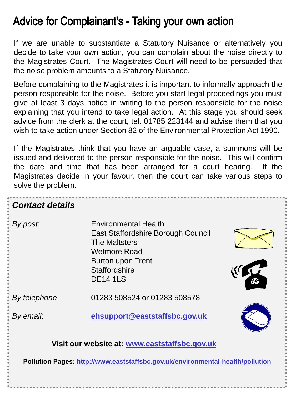## **Advice for Complainant's - Taking your own action**

If we are unable to substantiate a Statutory Nuisance or alternatively you decide to take your own action, you can complain about the noise directly to the Magistrates Court. The Magistrates Court will need to be persuaded that the noise problem amounts to a Statutory Nuisance.

Before complaining to the Magistrates it is important to informally approach the person responsible for the noise. Before you start legal proceedings you must give at least 3 days notice in writing to the person responsible for the noise explaining that you intend to take legal action. At this stage you should seek advice from the clerk at the court, tel. 01785 223144 and advise them that you wish to take action under Section 82 of the Environmental Protection Act 1990.

If the Magistrates think that you have an arguable case, a summons will be issued and delivered to the person responsible for the noise. This will confirm the date and time that has been arranged for a court hearing. If the Magistrates decide in your favour, then the court can take various steps to solve the problem.

| <b>Contact details</b>                                                         |                                                                                                                                                                                  |
|--------------------------------------------------------------------------------|----------------------------------------------------------------------------------------------------------------------------------------------------------------------------------|
| By post.                                                                       | <b>Environmental Health</b><br>East Staffordshire Borough Council<br><b>The Maltsters</b><br><b>Wetmore Road</b><br>Burton upon Trent<br><b>Staffordshire</b><br><b>DE14 1LS</b> |
| By telephone:                                                                  | 01283 508524 or 01283 508578                                                                                                                                                     |
| By email:                                                                      | ehsupport@eaststaffsbc.gov.uk                                                                                                                                                    |
| Visit our website at: www.eaststaffsbc.gov.uk                                  |                                                                                                                                                                                  |
| Pollution Pages: http://www.eaststaffsbc.gov.uk/environmental-health/pollution |                                                                                                                                                                                  |